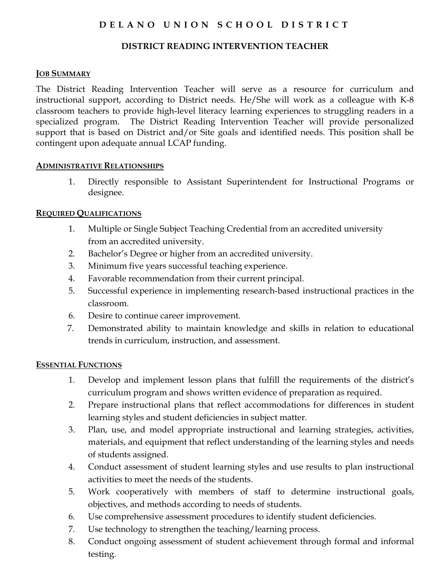# D E L A N O U N I O N S C H O O L D I S T R I C T

## DISTRICT READING INTERVENTION TEACHER

#### **JOB SUMMARY**

The District Reading Intervention Teacher will serve as a resource for curriculum and instructional support, according to District needs. He/She will work as a colleague with K-8 classroom teachers to provide high-level literacy learning experiences to struggling readers in a specialized program. The District Reading Intervention Teacher will provide personalized support that is based on District and/or Site goals and identified needs. This position shall be contingent upon adequate annual LCAP funding.

#### ADMINISTRATIVE RELATIONSHIPS

1. Directly responsible to Assistant Superintendent for Instructional Programs or designee.

## REQUIRED QUALIFICATIONS

- 1. Multiple or Single Subject Teaching Credential from an accredited university from an accredited university.
- 2. Bachelor's Degree or higher from an accredited university.
- 3. Minimum five years successful teaching experience.
- 4. Favorable recommendation from their current principal.
- 5. Successful experience in implementing research-based instructional practices in the classroom.
- 6. Desire to continue career improvement.
- 7. Demonstrated ability to maintain knowledge and skills in relation to educational trends in curriculum, instruction, and assessment.

## ESSENTIAL FUNCTIONS

- 1. Develop and implement lesson plans that fulfill the requirements of the district's curriculum program and shows written evidence of preparation as required.
- 2. Prepare instructional plans that reflect accommodations for differences in student learning styles and student deficiencies in subject matter.
- 3. Plan, use, and model appropriate instructional and learning strategies, activities, materials, and equipment that reflect understanding of the learning styles and needs of students assigned.
- 4. Conduct assessment of student learning styles and use results to plan instructional activities to meet the needs of the students.
- 5. Work cooperatively with members of staff to determine instructional goals, objectives, and methods according to needs of students.
- 6. Use comprehensive assessment procedures to identify student deficiencies.
- 7. Use technology to strengthen the teaching/learning process.
- 8. Conduct ongoing assessment of student achievement through formal and informal testing.